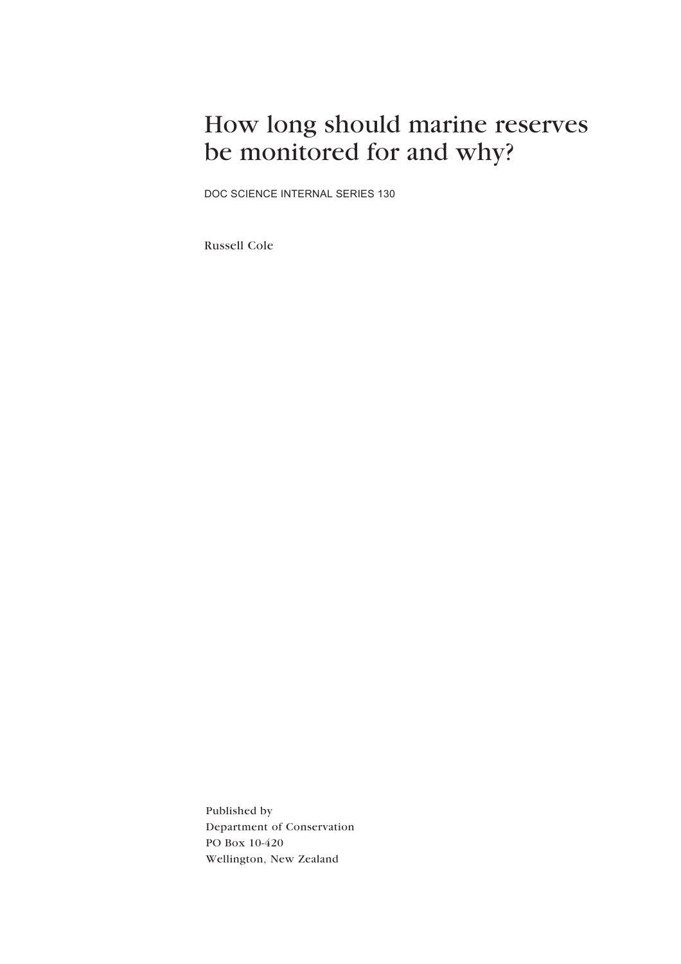## How long should marine reserves be monitored for and why?

DOC SCIENCE INTERNAL SERIES 130

Russell Cole

Published by Department of Conservation PO Box 10-420 Wellington, New Zealand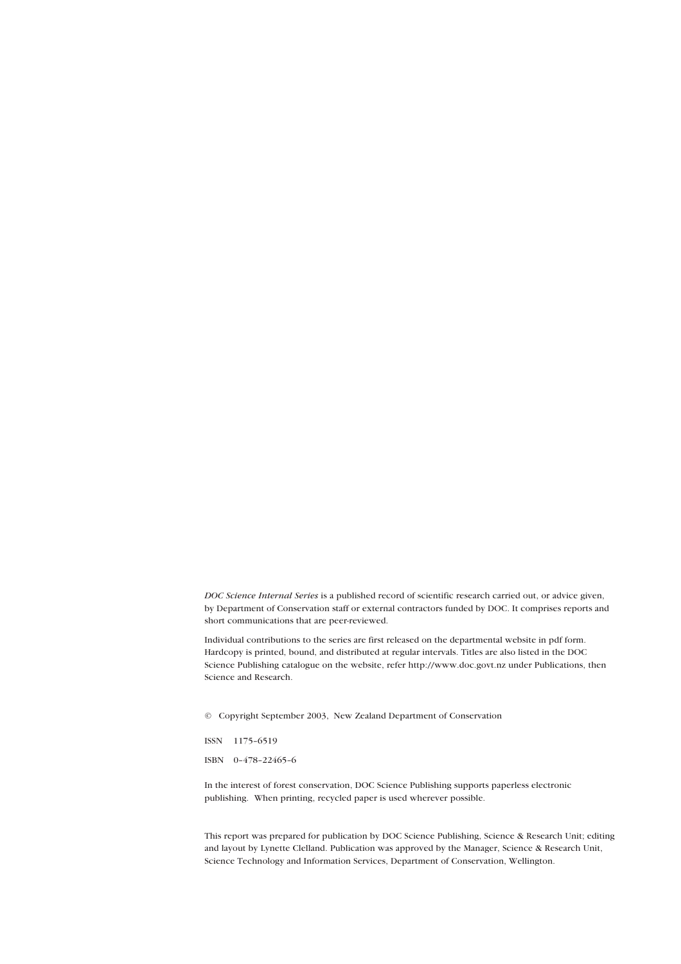*DOC Science Internal Series* is a published record of scientific research carried out, or advice given, by Department of Conservation staff or external contractors funded by DOC. It comprises reports and short communications that are peer-reviewed.

Individual contributions to the series are first released on the departmental website in pdf form. Hardcopy is printed, bound, and distributed at regular intervals. Titles are also listed in the DOC Science Publishing catalogue on the website, refer http://www.doc.govt.nz under Publications, then Science and Research.

© Copyright September 2003, New Zealand Department of Conservation

ISSN 1175-6519

ISBN 0-478-22465-6

In the interest of forest conservation, DOC Science Publishing supports paperless electronic publishing. When printing, recycled paper is used wherever possible.

This report was prepared for publication by DOC Science Publishing, Science & Research Unit; editing and layout by Lynette Clelland. Publication was approved by the Manager, Science & Research Unit, Science Technology and Information Services, Department of Conservation, Wellington.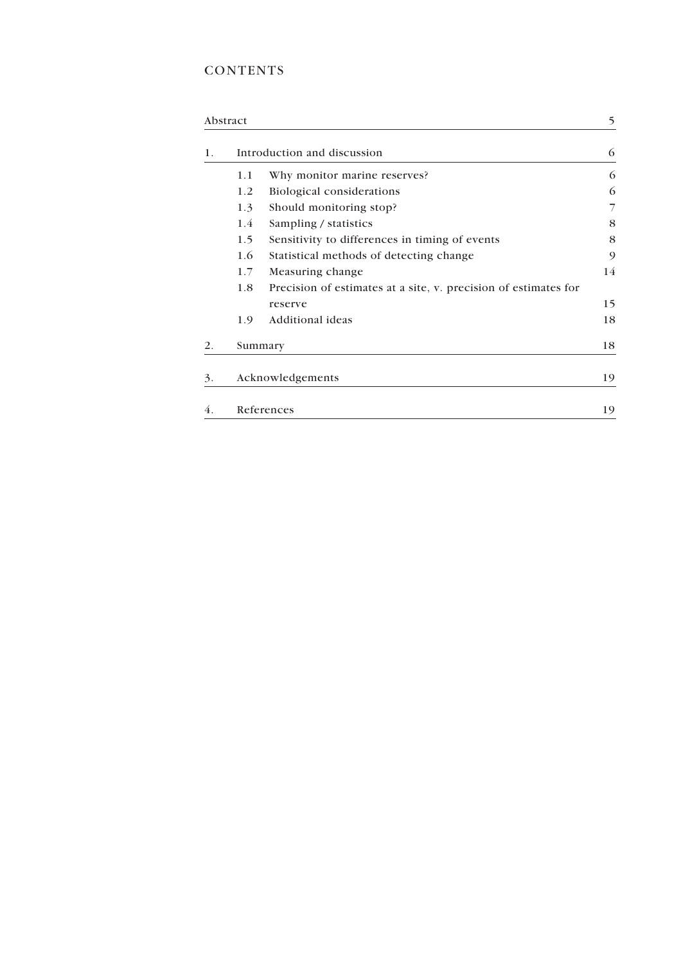## **CONTENTS**

|    | Abstract                    |                                                                 | 5  |
|----|-----------------------------|-----------------------------------------------------------------|----|
| 1. | Introduction and discussion |                                                                 | 6  |
|    | 1.1                         | Why monitor marine reserves?                                    | 6  |
|    | 1.2                         | Biological considerations                                       | 6  |
|    | 1.3                         | Should monitoring stop?                                         |    |
|    | 1.4                         | Sampling / statistics                                           | 8  |
|    | 1.5                         | Sensitivity to differences in timing of events                  | 8  |
|    | 1.6                         | Statistical methods of detecting change                         | 9  |
|    | 1.7                         | Measuring change                                                | 14 |
|    | 1.8                         | Precision of estimates at a site, v. precision of estimates for |    |
|    |                             | reserve                                                         | 15 |
|    | 1.9                         | Additional ideas                                                | 18 |
| 2. |                             | Summary                                                         | 18 |
| 3. |                             | Acknowledgements                                                | 19 |
| 4. |                             | References                                                      | 19 |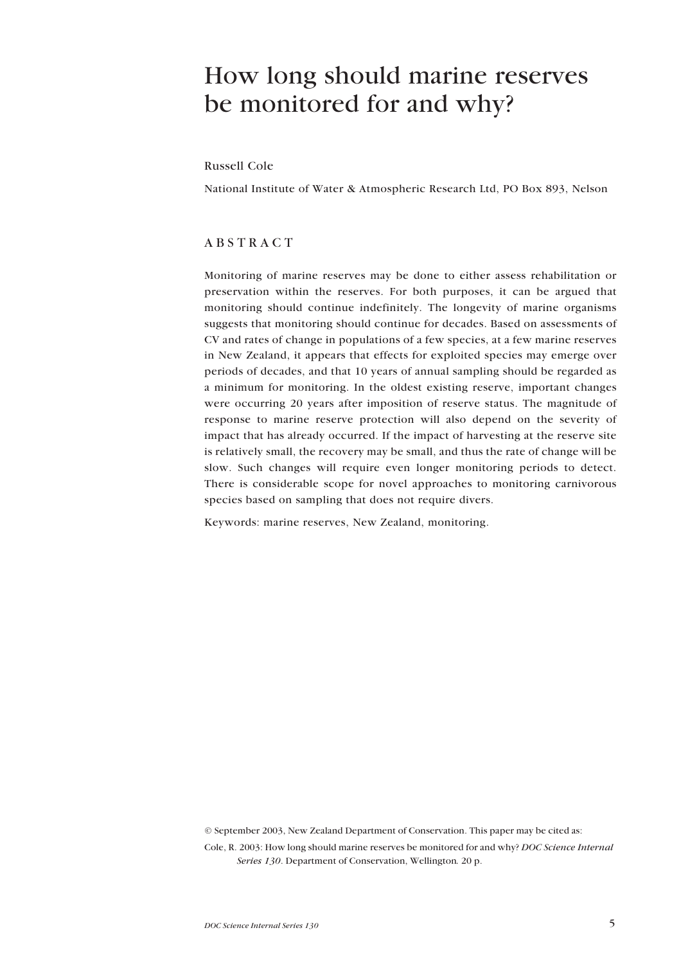## <span id="page-3-0"></span>How long should marine reserves be monitored for and why?

Russell Cole

National Institute of Water & Atmospheric Research Ltd, PO Box 893, Nelson

#### ABSTRACT

Monitoring of marine reserves may be done to either assess rehabilitation or preservation within the reserves. For both purposes, it can be argued that monitoring should continue indefinitely. The longevity of marine organisms suggests that monitoring should continue for decades. Based on assessments of CV and rates of change in populations of a few species, at a few marine reserves in New Zealand, it appears that effects for exploited species may emerge over periods of decades, and that 10 years of annual sampling should be regarded as a minimum for monitoring. In the oldest existing reserve, important changes were occurring 20 years after imposition of reserve status. The magnitude of response to marine reserve protection will also depend on the severity of impact that has already occurred. If the impact of harvesting at the reserve site is relatively small, the recovery may be small, and thus the rate of change will be slow. Such changes will require even longer monitoring periods to detect. There is considerable scope for novel approaches to monitoring carnivorous species based on sampling that does not require divers.

Keywords: marine reserves, New Zealand, monitoring.

© September 2003, New Zealand Department of Conservation. This paper may be cited as:

Cole, R. 2003: How long should marine reserves be monitored for and why? *DOC Science Internal Series 130*. Department of Conservation, Wellington*.* 20 p.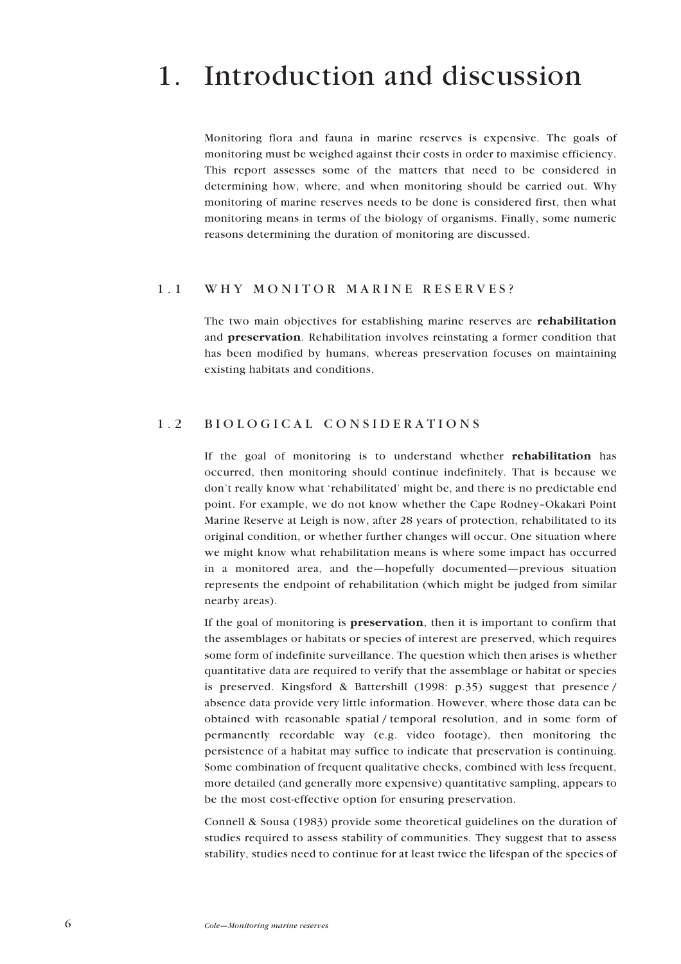## <span id="page-4-0"></span>1. Introduction and discussion

Monitoring flora and fauna in marine reserves is expensive. The goals of monitoring must be weighed against their costs in order to maximise efficiency. This report assesses some of the matters that need to be considered in determining how, where, and when monitoring should be carried out. Why monitoring of marine reserves needs to be done is considered first, then what monitoring means in terms of the biology of organisms. Finally, some numeric reasons determining the duration of monitoring are discussed.

#### 1.1 WHY MONITOR MARINE RESERVES?

The two main objectives for establishing marine reserves are **rehabilitation** and **preservation**. Rehabilitation involves reinstating a former condition that has been modified by humans, whereas preservation focuses on maintaining existing habitats and conditions.

### 1.2 BIOLOGICAL CONSIDERATIONS

If the goal of monitoring is to understand whether **rehabilitation** has occurred, then monitoring should continue indefinitely. That is because we don't really know what 'rehabilitated' might be, and there is no predictable end point. For example, we do not know whether the Cape Rodney-Okakari Point Marine Reserve at Leigh is now, after 28 years of protection, rehabilitated to its original condition, or whether further changes will occur. One situation where we might know what rehabilitation means is where some impact has occurred in a monitored area, and the-hopefully documented-previous situation represents the endpoint of rehabilitation (which might be judged from similar nearby areas).

If the goal of monitoring is **preservation**, then it is important to confirm that the assemblages or habitats or species of interest are preserved, which requires some form of indefinite surveillance. The question which then arises is whether quantitative data are required to verify that the assemblage or habitat or species is preserved. Kingsford & Battershill (1998: p.35) suggest that presence / absence data provide very little information. However, where those data can be obtained with reasonable spatial / temporal resolution, and in some form of permanently recordable way (e.g. video footage), then monitoring the persistence of a habitat may suffice to indicate that preservation is continuing. Some combination of frequent qualitative checks, combined with less frequent, more detailed (and generally more expensive) quantitative sampling, appears to be the most cost-effective option for ensuring preservation.

Connell & Sousa (1983) provide some theoretical guidelines on the duration of studies required to assess stability of communities. They suggest that to assess stability, studies need to continue for at least twice the lifespan of the species of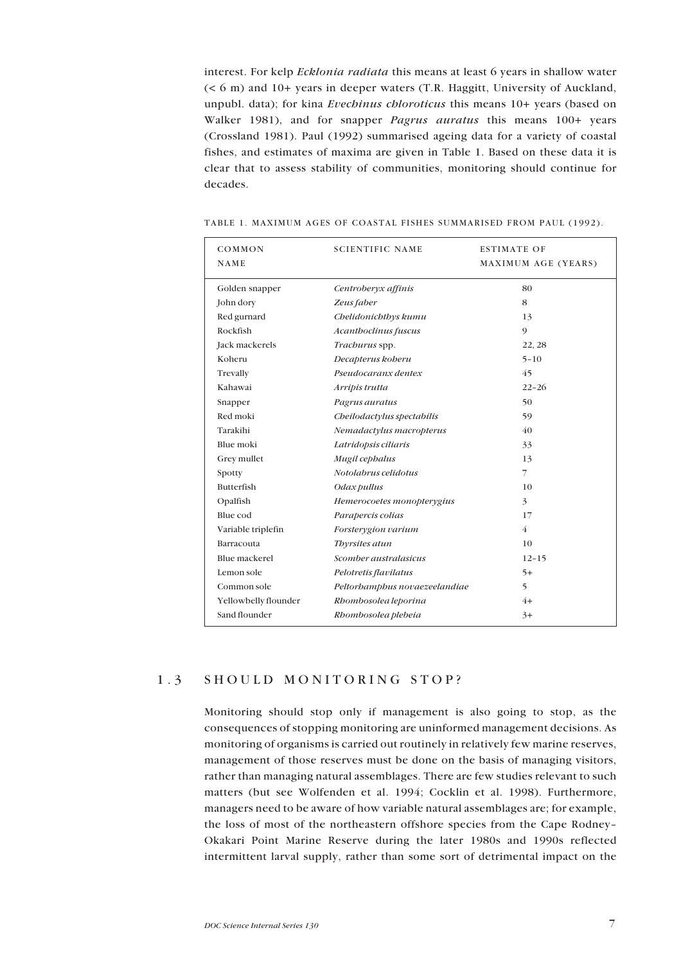<span id="page-5-0"></span>interest. For kelp *Ecklonia radiata* this means at least 6 years in shallow water (< 6 m) and 10+ years in deeper waters (T.R. Haggitt, University of Auckland, unpubl. data); for kina *Evechinus chloroticus* this means 10+ years (based on Walker 1981), and for snapper *Pagrus auratus* this means 100+ years (Crossland 1981). Paul (1992) summarised ageing data for a variety of coastal fishes, and estimates of maxima are given in Table 1. Based on these data it is clear that to assess stability of communities, monitoring should continue for decades.

| COMMON<br>NAME       | <b>SCIENTIFIC NAME</b>        | <b>ESTIMATE OF</b><br>MAXIMUM AGE (YEARS) |
|----------------------|-------------------------------|-------------------------------------------|
| Golden snapper       | Centroberyx affinis           | 80                                        |
| John dory            | Zeus faber                    | 8                                         |
| Red gurnard          | Chelidonichthys kumu          | 13                                        |
| Rockfish             | Acanthoclinus fuscus          | 9                                         |
| Jack mackerels       | Trachurus spp.                | 22, 28                                    |
| Koheru               | Decapterus koberu             | $5 - 10$                                  |
| Trevally             | Pseudocaranx dentex           | 45                                        |
| Kahawai              | Arripis trutta                | $22 - 26$                                 |
| Snapper              | Pagrus auratus                | 50                                        |
| Red moki             | Cheilodactylus spectabilis    | 59                                        |
| Tarakihi             | Nemadactylus macropterus      | 40                                        |
| Blue moki            | Latridopsis ciliaris          | 33                                        |
| Grey mullet          | Mugil cephalus                | 13                                        |
| Spotty               | Notolabrus celidotus          | $\overline{\phantom{a}}$                  |
| Butterfish           | Odax pullus                   | 10                                        |
| Opalfish             | Hemerocoetes monopterygius    | 3                                         |
| Blue cod             | Parapercis colias             | 17                                        |
| Variable triplefin   | Forsterygion varium           | $\overline{4}$                            |
| Barracouta           | Thyrsites atun                | 10                                        |
| Blue mackerel        | Scomber australasicus         | $12 - 15$                                 |
| Lemon sole           | Pelotretis flavilatus         | $5+$                                      |
| Common sole          | Peltorbamphus novaezeelandiae | 5                                         |
| Yellowbelly flounder | Rhombosolea leporina          | $4+$                                      |
| Sand flounder        | Rhombosolea plebeia           | $3+$                                      |

TABLE 1. MAXIMUM AGES OF COASTAL FISHES SUMMARISED FROM PAUL (1992).

### 1.3 SHOULD MONITORING STOP?

Monitoring should stop only if management is also going to stop, as the consequences of stopping monitoring are uninformed management decisions. As monitoring of organisms is carried out routinely in relatively few marine reserves, management of those reserves must be done on the basis of managing visitors, rather than managing natural assemblages. There are few studies relevant to such matters (but see Wolfenden et al. 1994; Cocklin et al. 1998). Furthermore, managers need to be aware of how variable natural assemblages are; for example, the loss of most of the northeastern offshore species from the Cape Rodney-Okakari Point Marine Reserve during the later 1980s and 1990s reflected intermittent larval supply, rather than some sort of detrimental impact on the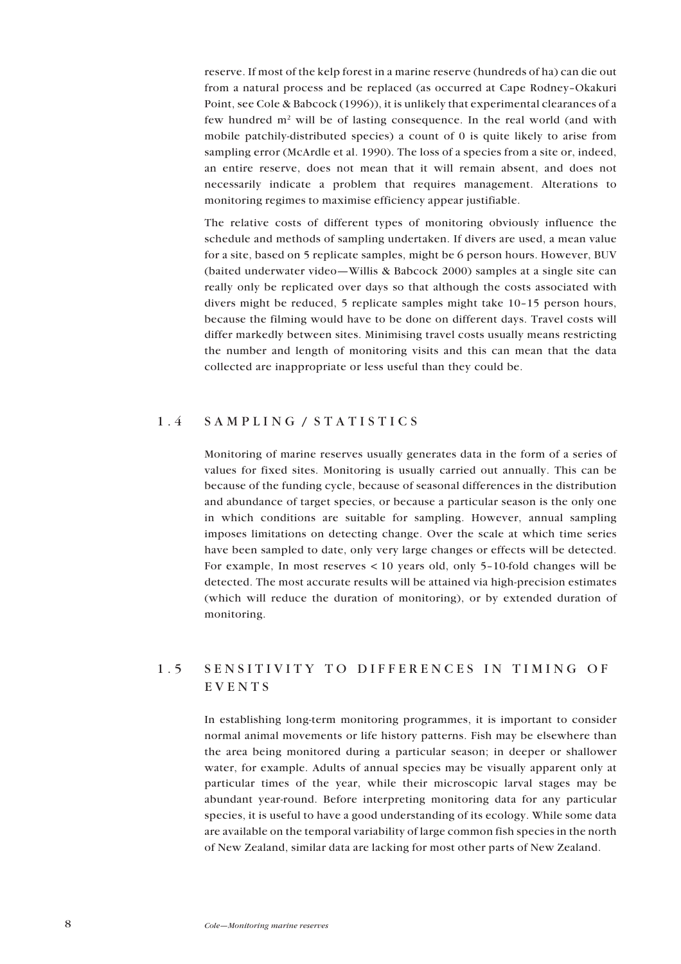<span id="page-6-0"></span>reserve. If most of the kelp forest in a marine reserve (hundreds of ha) can die out from a natural process and be replaced (as occurred at Cape Rodney-Okakuri Point, see Cole & Babcock (1996)), it is unlikely that experimental clearances of a few hundred  $m<sup>2</sup>$  will be of lasting consequence. In the real world (and with mobile patchily-distributed species) a count of 0 is quite likely to arise from sampling error (McArdle et al. 1990). The loss of a species from a site or, indeed, an entire reserve, does not mean that it will remain absent, and does not necessarily indicate a problem that requires management. Alterations to monitoring regimes to maximise efficiency appear justifiable.

The relative costs of different types of monitoring obviously influence the schedule and methods of sampling undertaken. If divers are used, a mean value for a site, based on 5 replicate samples, might be 6 person hours. However, BUV (baited underwater video—Willis & Babcock 2000) samples at a single site can really only be replicated over days so that although the costs associated with divers might be reduced, 5 replicate samples might take  $10-15$  person hours, because the filming would have to be done on different days. Travel costs will differ markedly between sites. Minimising travel costs usually means restricting the number and length of monitoring visits and this can mean that the data collected are inappropriate or less useful than they could be.

### 1.4 SAMPLING / STATISTICS

Monitoring of marine reserves usually generates data in the form of a series of values for fixed sites. Monitoring is usually carried out annually. This can be because of the funding cycle, because of seasonal differences in the distribution and abundance of target species, or because a particular season is the only one in which conditions are suitable for sampling. However, annual sampling imposes limitations on detecting change. Over the scale at which time series have been sampled to date, only very large changes or effects will be detected. For example, In most reserves  $\lt 10$  years old, only 5-10-fold changes will be detected. The most accurate results will be attained via high-precision estimates (which will reduce the duration of monitoring), or by extended duration of monitoring.

## 1.5 SENSITIVITY TO DIFFERENCES IN TIMING OF EVENTS

In establishing long-term monitoring programmes, it is important to consider normal animal movements or life history patterns. Fish may be elsewhere than the area being monitored during a particular season; in deeper or shallower water, for example. Adults of annual species may be visually apparent only at particular times of the year, while their microscopic larval stages may be abundant year-round. Before interpreting monitoring data for any particular species, it is useful to have a good understanding of its ecology. While some data are available on the temporal variability of large common fish species in the north of New Zealand, similar data are lacking for most other parts of New Zealand.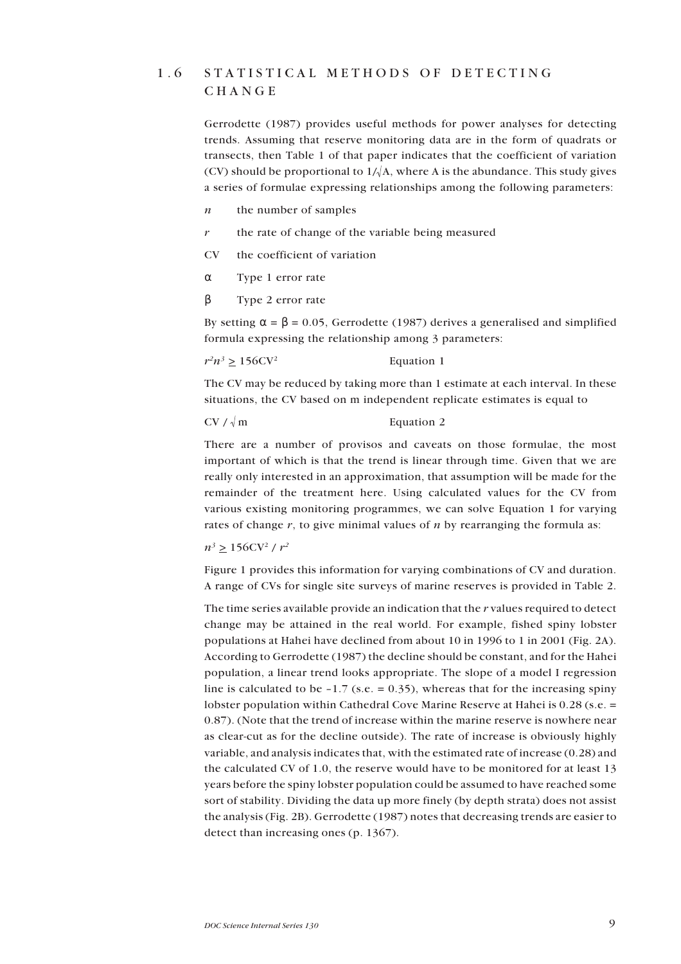## <span id="page-7-0"></span>1.6 STATISTICAL METHODS OF DETECTING CHANGE

Gerrodette (1987) provides useful methods for power analyses for detecting trends. Assuming that reserve monitoring data are in the form of quadrats or transects, then Table 1 of that paper indicates that the coefficient of variation (CV) should be proportional to  $1/\sqrt{A}$ , where A is the abundance. This study gives a series of formulae expressing relationships among the following parameters:

- *n* the number of samples
- *r* the rate of change of the variable being measured
- CV the coefficient of variation
- α Type 1 error rate
- β Type 2 error rate

By setting  $\alpha = \beta = 0.05$ , Gerrodette (1987) derives a generalised and simplified formula expressing the relationship among 3 parameters:

 $r^2n^3 > 156CV^2$  Equation 1

The CV may be reduced by taking more than 1 estimate at each interval. In these situations, the CV based on m independent replicate estimates is equal to

#### $CV / \sqrt{m}$  Equation 2

There are a number of provisos and caveats on those formulae, the most important of which is that the trend is linear through time. Given that we are really only interested in an approximation, that assumption will be made for the remainder of the treatment here. Using calculated values for the CV from various existing monitoring programmes, we can solve Equation 1 for varying rates of change *r*, to give minimal values of *n* by rearranging the formula as:

 $n^3 \ge 156CV^2 / r^2$ 

Figure 1 provides this information for varying combinations of CV and duration. A range of CVs for single site surveys of marine reserves is provided in Table 2.

The time series available provide an indication that the *r* values required to detect change may be attained in the real world. For example, fished spiny lobster populations at Hahei have declined from about 10 in 1996 to 1 in 2001 (Fig. 2A). According to Gerrodette (1987) the decline should be constant, and for the Hahei population, a linear trend looks appropriate. The slope of a model I regression line is calculated to be  $-1.7$  (s.e.  $= 0.35$ ), whereas that for the increasing spiny lobster population within Cathedral Cove Marine Reserve at Hahei is 0.28 (s.e. = 0.87). (Note that the trend of increase within the marine reserve is nowhere near as clear-cut as for the decline outside). The rate of increase is obviously highly variable, and analysis indicates that, with the estimated rate of increase (0.28) and the calculated CV of 1.0, the reserve would have to be monitored for at least 13 years before the spiny lobster population could be assumed to have reached some sort of stability. Dividing the data up more finely (by depth strata) does not assist the analysis (Fig. 2B). Gerrodette (1987) notes that decreasing trends are easier to detect than increasing ones (p. 1367).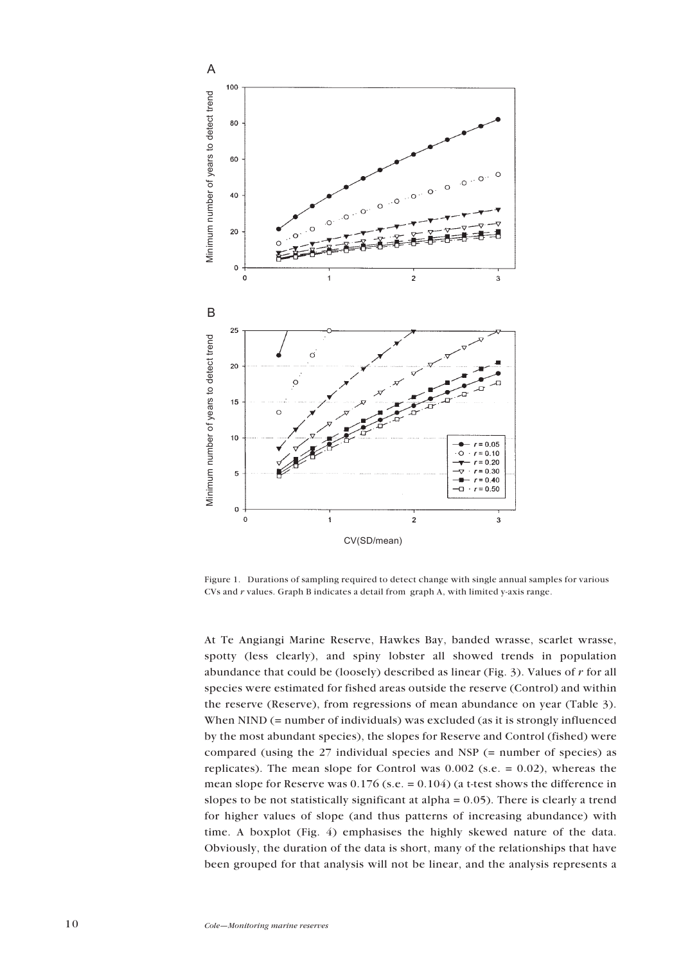

Figure 1. Durations of sampling required to detect change with single annual samples for various CVs and *r* values. Graph B indicates a detail from graph A, with limited y-axis range.

At Te Angiangi Marine Reserve, Hawkes Bay, banded wrasse, scarlet wrasse, spotty (less clearly), and spiny lobster all showed trends in population abundance that could be (loosely) described as linear (Fig. 3). Values of *r* for all species were estimated for fished areas outside the reserve (Control) and within the reserve (Reserve), from regressions of mean abundance on year (Table 3). When NIND (= number of individuals) was excluded (as it is strongly influenced by the most abundant species), the slopes for Reserve and Control (fished) were compared (using the 27 individual species and NSP (= number of species) as replicates). The mean slope for Control was  $0.002$  (s.e. = 0.02), whereas the mean slope for Reserve was  $0.176$  (s.e. =  $0.104$ ) (a t-test shows the difference in slopes to be not statistically significant at alpha = 0.05). There is clearly a trend for higher values of slope (and thus patterns of increasing abundance) with time. A boxplot (Fig. 4) emphasises the highly skewed nature of the data. Obviously, the duration of the data is short, many of the relationships that have been grouped for that analysis will not be linear, and the analysis represents a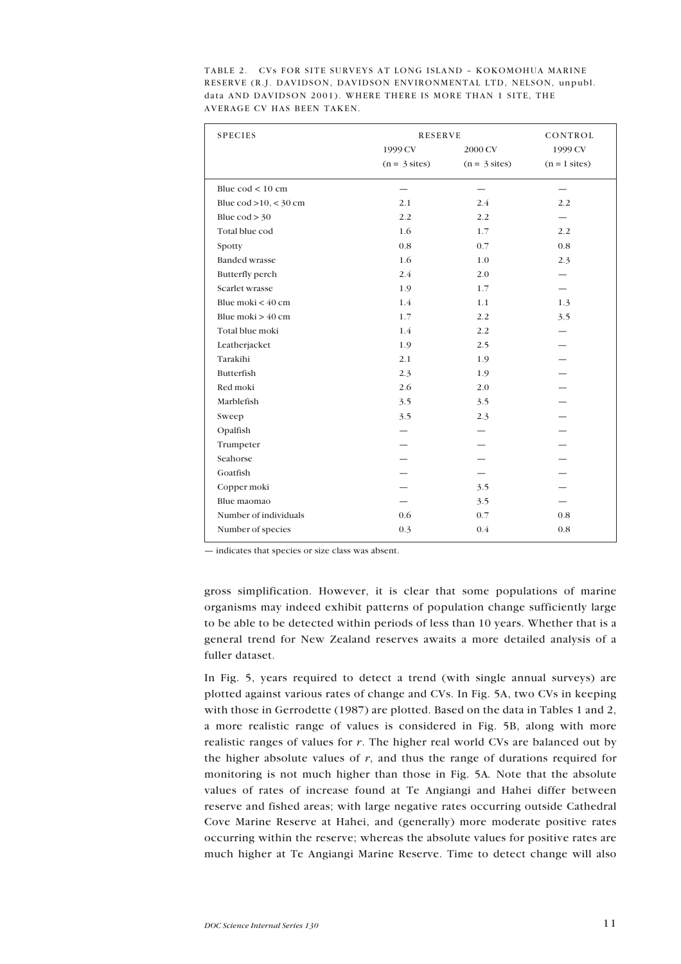| <b>SPECIES</b>                          | <b>RESERVE</b>  |                 | CONTROL         |
|-----------------------------------------|-----------------|-----------------|-----------------|
|                                         | 1999 CV         | 2000 CV         | 1999 CV         |
|                                         | $(n = 3$ sites) | $(n = 3$ sites) | $(n = 1$ sites) |
| Blue $\text{cod}$ < 10 cm               |                 |                 |                 |
| Blue $\text{cod} > 10, < 30 \text{ cm}$ | 2.1             | 2.4             | 2.2             |
| Blue $\text{cod} > 30$                  | 2.2             | 2.2             |                 |
| Total blue cod                          | 1.6             | 1.7             | 2.2             |
| Spotty                                  | 0.8             | 0.7             | 0.8             |
| <b>Banded wrasse</b>                    | 1.6             | 1.0             | 2.3             |
| Butterfly perch                         | 2.4             | 2.0             |                 |
| Scarlet wrasse                          | 1.9             | 1.7             |                 |
| Blue moki $<$ 40 cm                     | 1.4             | 1.1             | 1.3             |
| Blue moki $> 40$ cm                     | 1.7             | 2.2             | 3.5             |
| Total blue moki                         | 1.4             | 2.2             |                 |
| Leatherjacket                           | 1.9             | 2.5             |                 |
| Tarakihi                                | 2.1             | 1.9             |                 |
| Butterfish                              | 2.3             | 1.9             |                 |
| Red moki                                | 2.6             | 2.0             |                 |
| Marblefish                              | 3.5             | 3.5             |                 |
| Sweep                                   | 3.5             | 2.3             |                 |
| Opalfish                                |                 |                 |                 |
| Trumpeter                               |                 |                 |                 |
| Seahorse                                |                 |                 |                 |
| Goatfish                                |                 |                 |                 |
| Copper moki                             |                 | 3.5             |                 |
| Blue maomao                             |                 | 3.5             |                 |
| Number of individuals                   | 0.6             | 0.7             | 0.8             |
| Number of species                       | 0.3             | 0.4             | 0.8             |

TABLE 2. CVs FOR SITE SURVEYS AT LONG ISLAND - KOKOMOHUA MARINE RESERVE (R.J. DAVIDSON, DAVIDSON ENVIRONMENTAL LTD, NELSON, unpubl. data AND DAVIDSON 2001). WHERE THERE IS MORE THAN 1 SITE, THE AVERAGE CV HAS BEEN TAKEN.

- indicates that species or size class was absent.

gross simplification. However, it is clear that some populations of marine organisms may indeed exhibit patterns of population change sufficiently large to be able to be detected within periods of less than 10 years. Whether that is a general trend for New Zealand reserves awaits a more detailed analysis of a fuller dataset.

In Fig. 5, years required to detect a trend (with single annual surveys) are plotted against various rates of change and CVs. In Fig. 5A, two CVs in keeping with those in Gerrodette (1987) are plotted. Based on the data in Tables 1 and 2, a more realistic range of values is considered in Fig. 5B, along with more realistic ranges of values for *r*. The higher real world CVs are balanced out by the higher absolute values of *r*, and thus the range of durations required for monitoring is not much higher than those in Fig. 5A*.* Note that the absolute values of rates of increase found at Te Angiangi and Hahei differ between reserve and fished areas; with large negative rates occurring outside Cathedral Cove Marine Reserve at Hahei, and (generally) more moderate positive rates occurring within the reserve; whereas the absolute values for positive rates are much higher at Te Angiangi Marine Reserve. Time to detect change will also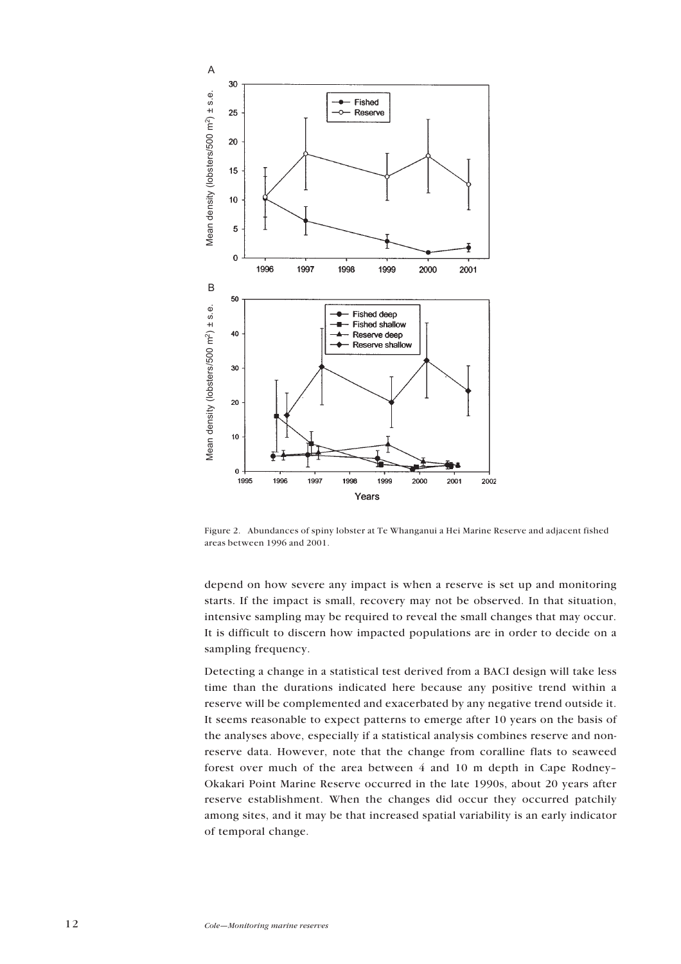

Figure 2. Abundances of spiny lobster at Te Whanganui a Hei Marine Reserve and adjacent fished

depend on how severe any impact is when a reserve is set up and monitoring starts. If the impact is small, recovery may not be observed. In that situation, intensive sampling may be required to reveal the small changes that may occur. It is difficult to discern how impacted populations are in order to decide on a sampling frequency.

Detecting a change in a statistical test derived from a BACI design will take less time than the durations indicated here because any positive trend within a reserve will be complemented and exacerbated by any negative trend outside it. It seems reasonable to expect patterns to emerge after 10 years on the basis of the analyses above, especially if a statistical analysis combines reserve and nonreserve data. However, note that the change from coralline flats to seaweed forest over much of the area between  $\ddot{4}$  and 10 m depth in Cape Rodney-Okakari Point Marine Reserve occurred in the late 1990s, about 20 years after reserve establishment. When the changes did occur they occurred patchily among sites, and it may be that increased spatial variability is an early indicator of temporal change.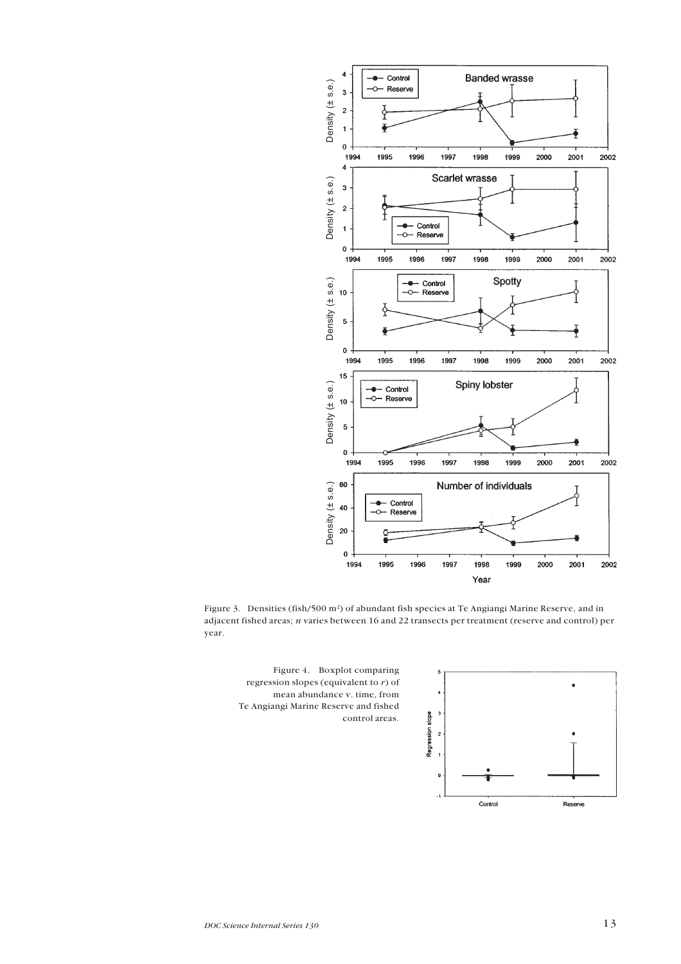

Figure 3. Densities (fish/500 m<sup>2</sup>) of abundant fish species at Te Angiangi Marine Reserve, and in adjacent fished areas; *n* varies between 16 and 22 transects per treatment (reserve and control) per year.



Figure 4. Boxplot comparing regression slopes (equivalent to *r*) of mean abundance v. time, from Te Angiangi Marine Reserve and fished control areas.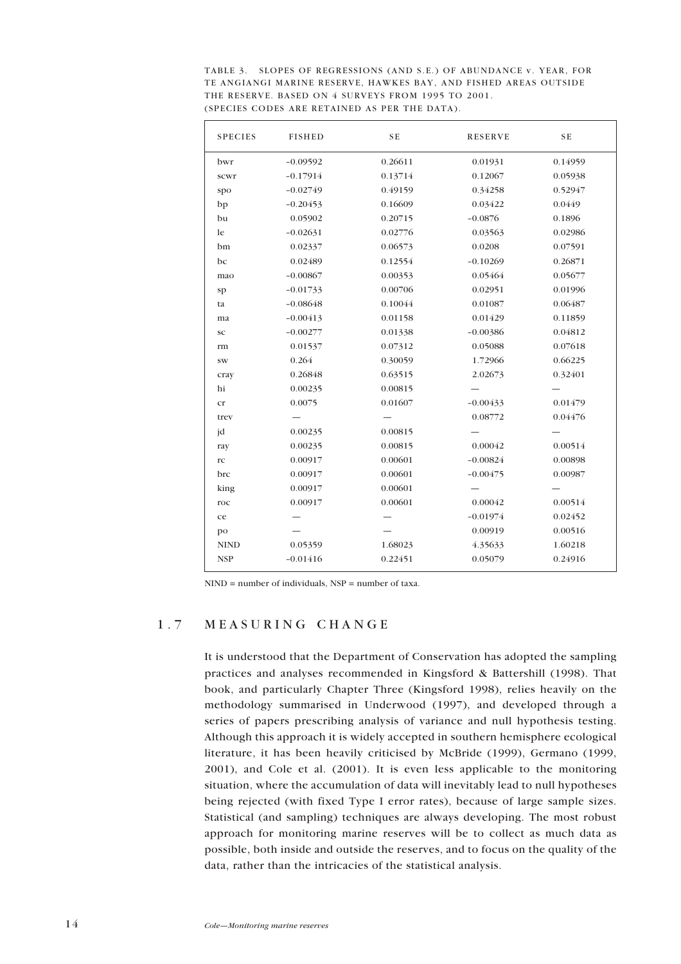<span id="page-12-0"></span>

| TABLE 3. SLOPES OF REGRESSIONS (AND S.E.) OF ABUNDANCE v. YEAR, FOR |
|---------------------------------------------------------------------|
| TE ANGIANGI MARINE RESERVE, HAWKES BAY, AND FISHED AREAS OUTSIDE    |
| THE RESERVE. BASED ON 4 SURVEYS FROM 1995 TO 2001.                  |
| (SPECIES CODES ARE RETAINED AS PER THE DATA).                       |

| 0.26611<br>$-0.09592$<br>0.01931<br>0.14959<br>bwr<br>0.13714<br>$-0.17914$<br>0.12067<br>0.05938<br>scwr<br>$-0.02749$<br>0.49159<br>0.34258<br>0.52947<br>spo<br>0.16609<br>0.03422<br>0.0449<br>$-0.20453$<br>bp<br>$-0.0876$<br>0.05902<br>0.20715<br>0.1896<br>bu<br>le<br>$-0.02631$<br>0.02776<br>0.03563<br>0.02986<br>bm<br>0.02337<br>0.06573<br>0.0208<br>0.07591<br>0.02489<br>$-0.10269$<br>0.26871<br>bc<br>0.12554<br>$-0.00867$<br>0.05464<br>0.05677<br>0.00353<br>mao<br>0.00706<br>0.02951<br>0.01996<br>$-0.01733$<br>sp |  |
|----------------------------------------------------------------------------------------------------------------------------------------------------------------------------------------------------------------------------------------------------------------------------------------------------------------------------------------------------------------------------------------------------------------------------------------------------------------------------------------------------------------------------------------------|--|
|                                                                                                                                                                                                                                                                                                                                                                                                                                                                                                                                              |  |
|                                                                                                                                                                                                                                                                                                                                                                                                                                                                                                                                              |  |
|                                                                                                                                                                                                                                                                                                                                                                                                                                                                                                                                              |  |
|                                                                                                                                                                                                                                                                                                                                                                                                                                                                                                                                              |  |
|                                                                                                                                                                                                                                                                                                                                                                                                                                                                                                                                              |  |
|                                                                                                                                                                                                                                                                                                                                                                                                                                                                                                                                              |  |
|                                                                                                                                                                                                                                                                                                                                                                                                                                                                                                                                              |  |
|                                                                                                                                                                                                                                                                                                                                                                                                                                                                                                                                              |  |
|                                                                                                                                                                                                                                                                                                                                                                                                                                                                                                                                              |  |
|                                                                                                                                                                                                                                                                                                                                                                                                                                                                                                                                              |  |
| $-0.08648$<br>0.10044<br>0.01087<br>0.06487<br>ta                                                                                                                                                                                                                                                                                                                                                                                                                                                                                            |  |
| $-0.00413$<br>0.01158<br>0.01429<br>0.11859<br>ma                                                                                                                                                                                                                                                                                                                                                                                                                                                                                            |  |
| $-0.00386$<br>0.04812<br>$-0.00277$<br>0.01338<br>SC                                                                                                                                                                                                                                                                                                                                                                                                                                                                                         |  |
| 0.05088<br>0.07618<br>0.01537<br>0.07312<br>rm                                                                                                                                                                                                                                                                                                                                                                                                                                                                                               |  |
| 0.264<br>0.30059<br>1.72966<br>0.66225<br>$\mathrm{SW}$                                                                                                                                                                                                                                                                                                                                                                                                                                                                                      |  |
| 0.32401<br>0.26848<br>0.63515<br>2.02673<br>cray                                                                                                                                                                                                                                                                                                                                                                                                                                                                                             |  |
| hi<br>0.00235<br>0.00815                                                                                                                                                                                                                                                                                                                                                                                                                                                                                                                     |  |
| 0.01607<br>0.01479<br>0.0075<br>$-0.00433$<br>cr                                                                                                                                                                                                                                                                                                                                                                                                                                                                                             |  |
| 0.04476<br>0.08772<br>trev                                                                                                                                                                                                                                                                                                                                                                                                                                                                                                                   |  |
| jd<br>0.00815<br>0.00235                                                                                                                                                                                                                                                                                                                                                                                                                                                                                                                     |  |
| 0.00042<br>0.00235<br>0.00815<br>0.00514<br>ray                                                                                                                                                                                                                                                                                                                                                                                                                                                                                              |  |
| 0.00601<br>$-0.00824$<br>0.00917<br>0.00898<br>rc                                                                                                                                                                                                                                                                                                                                                                                                                                                                                            |  |
| 0.00601<br>brc<br>0.00917<br>$-0.00475$<br>0.00987                                                                                                                                                                                                                                                                                                                                                                                                                                                                                           |  |
| 0.00601<br>king<br>0.00917                                                                                                                                                                                                                                                                                                                                                                                                                                                                                                                   |  |
| 0.00601<br>0.00917<br>0.00042<br>0.00514<br>roc                                                                                                                                                                                                                                                                                                                                                                                                                                                                                              |  |
| $-0.01974$<br>0.02452<br>ce                                                                                                                                                                                                                                                                                                                                                                                                                                                                                                                  |  |
| 0.00516<br>0.00919<br>po                                                                                                                                                                                                                                                                                                                                                                                                                                                                                                                     |  |
| <b>NIND</b><br>1.68023<br>1.60218<br>0.05359<br>4.35633                                                                                                                                                                                                                                                                                                                                                                                                                                                                                      |  |
| <b>NSP</b><br>$-0.01416$<br>0.22451<br>0.05079<br>0.24916                                                                                                                                                                                                                                                                                                                                                                                                                                                                                    |  |

 $NIND = number of individuals, NSP = number of taxa.$ 

### 1.7 MEASURING CHANGE

It is understood that the Department of Conservation has adopted the sampling practices and analyses recommended in Kingsford & Battershill (1998). That book, and particularly Chapter Three (Kingsford 1998), relies heavily on the methodology summarised in Underwood (1997), and developed through a series of papers prescribing analysis of variance and null hypothesis testing. Although this approach it is widely accepted in southern hemisphere ecological literature, it has been heavily criticised by McBride (1999), Germano (1999, 2001), and Cole et al. (2001). It is even less applicable to the monitoring situation, where the accumulation of data will inevitably lead to null hypotheses being rejected (with fixed Type I error rates), because of large sample sizes. Statistical (and sampling) techniques are always developing. The most robust approach for monitoring marine reserves will be to collect as much data as possible, both inside and outside the reserves, and to focus on the quality of the data, rather than the intricacies of the statistical analysis.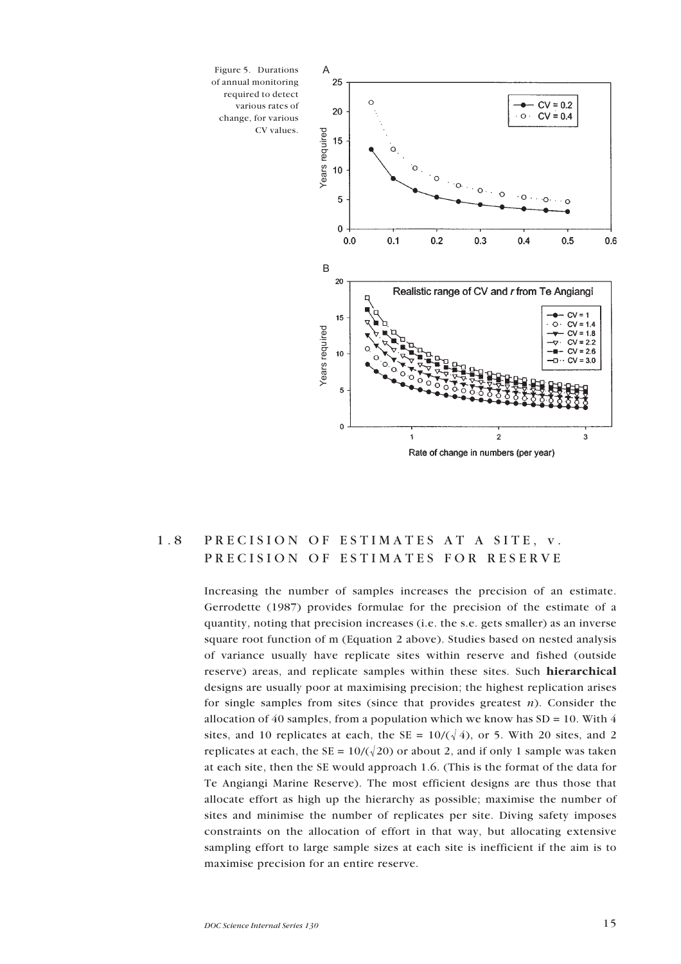<span id="page-13-0"></span>

### 1.8 PRECISION OF ESTIMATES AT A SITE, v. PRECISION OF ESTIMATES FOR RESERVE

Increasing the number of samples increases the precision of an estimate. Gerrodette (1987) provides formulae for the precision of the estimate of a quantity, noting that precision increases (i.e. the s.e. gets smaller) as an inverse square root function of m (Equation 2 above). Studies based on nested analysis of variance usually have replicate sites within reserve and fished (outside reserve) areas, and replicate samples within these sites. Such **hierarchical** designs are usually poor at maximising precision; the highest replication arises for single samples from sites (since that provides greatest *n*). Consider the allocation of 40 samples, from a population which we know has  $SD = 10$ . With 4 sites, and 10 replicates at each, the SE =  $10/(\sqrt{4})$ , or 5. With 20 sites, and 2 replicates at each, the SE =  $10/(\sqrt{20})$  or about 2, and if only 1 sample was taken at each site, then the SE would approach 1.6. (This is the format of the data for Te Angiangi Marine Reserve). The most efficient designs are thus those that allocate effort as high up the hierarchy as possible; maximise the number of sites and minimise the number of replicates per site. Diving safety imposes constraints on the allocation of effort in that way, but allocating extensive sampling effort to large sample sizes at each site is inefficient if the aim is to maximise precision for an entire reserve.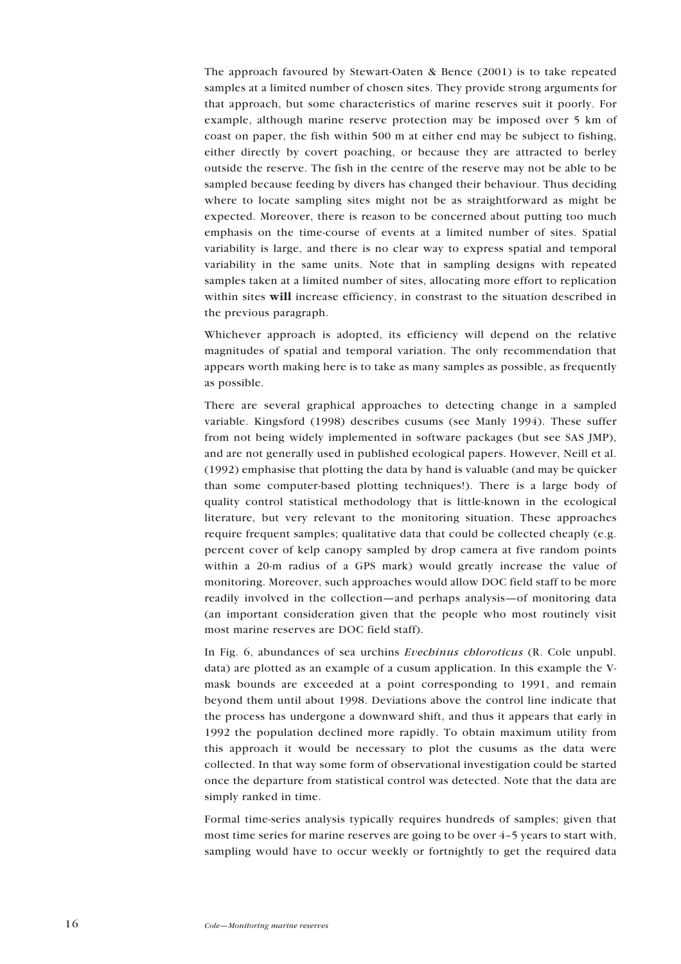The approach favoured by Stewart-Oaten & Bence (2001) is to take repeated samples at a limited number of chosen sites. They provide strong arguments for that approach, but some characteristics of marine reserves suit it poorly. For example, although marine reserve protection may be imposed over 5 km of coast on paper, the fish within 500 m at either end may be subject to fishing, either directly by covert poaching, or because they are attracted to berley outside the reserve. The fish in the centre of the reserve may not be able to be sampled because feeding by divers has changed their behaviour. Thus deciding where to locate sampling sites might not be as straightforward as might be expected. Moreover, there is reason to be concerned about putting too much emphasis on the time-course of events at a limited number of sites. Spatial variability is large, and there is no clear way to express spatial and temporal variability in the same units. Note that in sampling designs with repeated samples taken at a limited number of sites, allocating more effort to replication within sites **will** increase efficiency, in constrast to the situation described in the previous paragraph.

Whichever approach is adopted, its efficiency will depend on the relative magnitudes of spatial and temporal variation. The only recommendation that appears worth making here is to take as many samples as possible, as frequently as possible.

There are several graphical approaches to detecting change in a sampled variable. Kingsford (1998) describes cusums (see Manly 1994). These suffer from not being widely implemented in software packages (but see SAS JMP), and are not generally used in published ecological papers. However, Neill et al. (1992) emphasise that plotting the data by hand is valuable (and may be quicker than some computer-based plotting techniques!). There is a large body of quality control statistical methodology that is little-known in the ecological literature, but very relevant to the monitoring situation. These approaches require frequent samples; qualitative data that could be collected cheaply (e.g. percent cover of kelp canopy sampled by drop camera at five random points within a 20-m radius of a GPS mark) would greatly increase the value of monitoring. Moreover, such approaches would allow DOC field staff to be more readily involved in the collection—and perhaps analysis—of monitoring data (an important consideration given that the people who most routinely visit most marine reserves are DOC field staff).

In Fig. 6, abundances of sea urchins *Evechinus chloroticus* (R. Cole unpubl. data) are plotted as an example of a cusum application. In this example the Vmask bounds are exceeded at a point corresponding to 1991, and remain beyond them until about 1998. Deviations above the control line indicate that the process has undergone a downward shift, and thus it appears that early in 1992 the population declined more rapidly. To obtain maximum utility from this approach it would be necessary to plot the cusums as the data were collected. In that way some form of observational investigation could be started once the departure from statistical control was detected. Note that the data are simply ranked in time.

Formal time-series analysis typically requires hundreds of samples; given that most time series for marine reserves are going to be over  $4-5$  years to start with, sampling would have to occur weekly or fortnightly to get the required data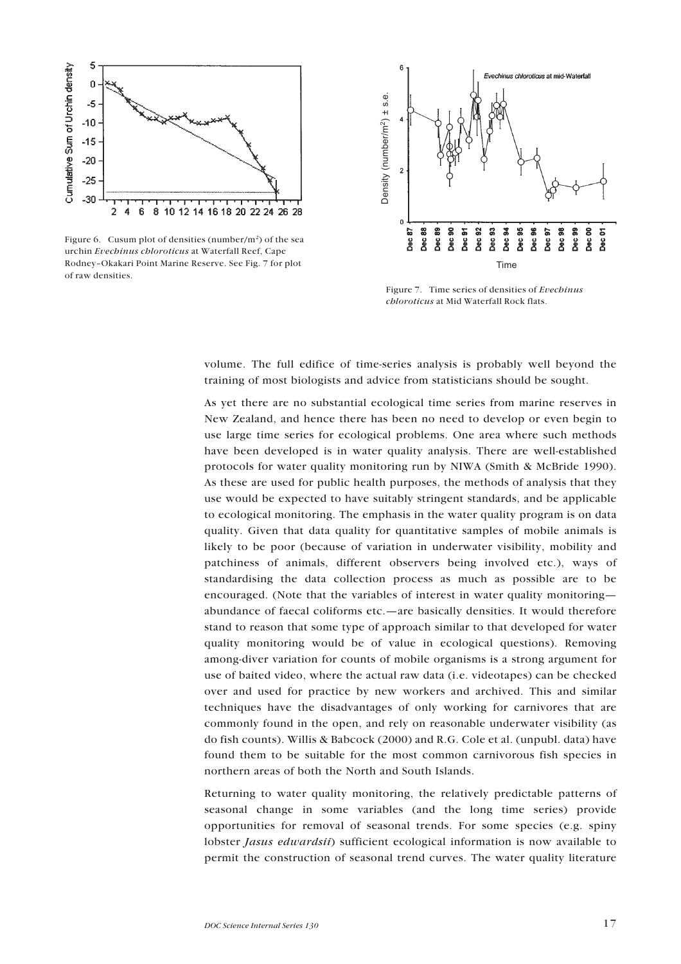

Figure 6. Cusum plot of densities (number/ $m<sup>2</sup>$ ) of the sea urchin *Evechinus chloroticus* at Waterfall Reef, Cape Rodney-Okakari Point Marine Reserve. See Fig. 7 for plot of raw densities.



Figure 7. Time series of densities of *Evechinus chloroticus* at Mid Waterfall Rock flats.

volume. The full edifice of time-series analysis is probably well beyond the training of most biologists and advice from statisticians should be sought.

As yet there are no substantial ecological time series from marine reserves in New Zealand, and hence there has been no need to develop or even begin to use large time series for ecological problems. One area where such methods have been developed is in water quality analysis. There are well-established protocols for water quality monitoring run by NIWA (Smith & McBride 1990). As these are used for public health purposes, the methods of analysis that they use would be expected to have suitably stringent standards, and be applicable to ecological monitoring. The emphasis in the water quality program is on data quality. Given that data quality for quantitative samples of mobile animals is likely to be poor (because of variation in underwater visibility, mobility and patchiness of animals, different observers being involved etc.), ways of standardising the data collection process as much as possible are to be encouraged. (Note that the variables of interest in water quality monitoring abundance of faecal coliforms etc.—are basically densities. It would therefore stand to reason that some type of approach similar to that developed for water quality monitoring would be of value in ecological questions). Removing among-diver variation for counts of mobile organisms is a strong argument for use of baited video, where the actual raw data (i.e. videotapes) can be checked over and used for practice by new workers and archived. This and similar techniques have the disadvantages of only working for carnivores that are commonly found in the open, and rely on reasonable underwater visibility (as do fish counts). Willis & Babcock (2000) and R.G. Cole et al. (unpubl. data) have found them to be suitable for the most common carnivorous fish species in northern areas of both the North and South Islands.

Returning to water quality monitoring, the relatively predictable patterns of seasonal change in some variables (and the long time series) provide opportunities for removal of seasonal trends. For some species (e.g. spiny lobster *Jasus edwardsii*) sufficient ecological information is now available to permit the construction of seasonal trend curves. The water quality literature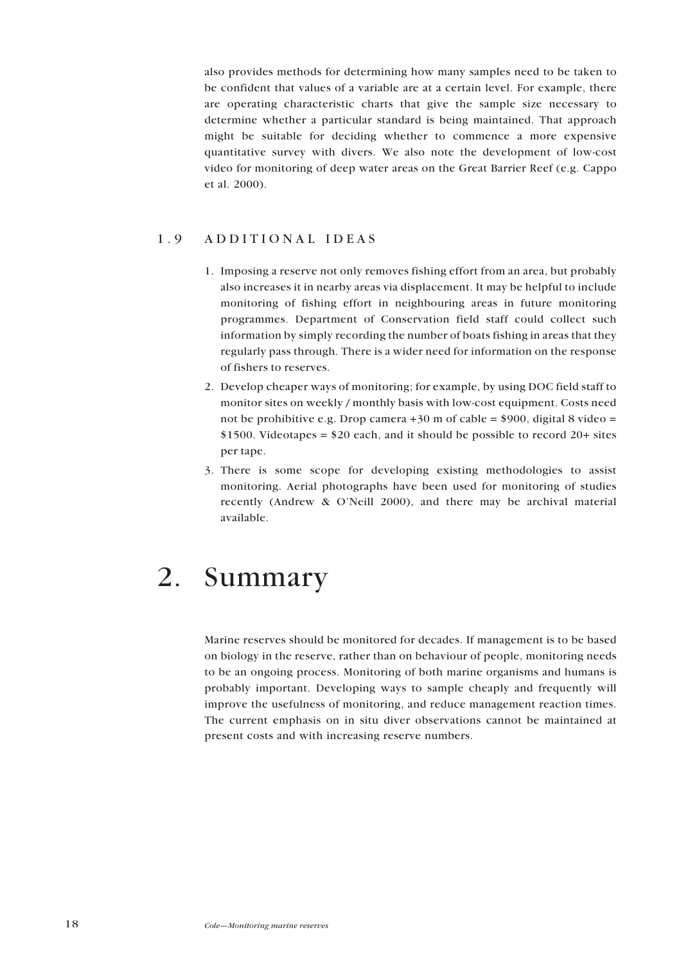<span id="page-16-0"></span>also provides methods for determining how many samples need to be taken to be confident that values of a variable are at a certain level. For example, there are operating characteristic charts that give the sample size necessary to determine whether a particular standard is being maintained. That approach might be suitable for deciding whether to commence a more expensive quantitative survey with divers. We also note the development of low-cost video for monitoring of deep water areas on the Great Barrier Reef (e.g. Cappo et al. 2000).

### 1.9 ADDITIONAL IDEAS

- 1. Imposing a reserve not only removes fishing effort from an area, but probably also increases it in nearby areas via displacement. It may be helpful to include monitoring of fishing effort in neighbouring areas in future monitoring programmes. Department of Conservation field staff could collect such information by simply recording the number of boats fishing in areas that they regularly pass through. There is a wider need for information on the response of fishers to reserves.
- 2. Develop cheaper ways of monitoring; for example, by using DOC field staff to monitor sites on weekly / monthly basis with low-cost equipment. Costs need not be prohibitive e.g. Drop camera  $+30$  m of cable = \$900, digital 8 video = \$1500. Videotapes = \$20 each, and it should be possible to record 20+ sites per tape.
- 3. There is some scope for developing existing methodologies to assist monitoring. Aerial photographs have been used for monitoring of studies recently (Andrew  $\&$  O'Neill 2000), and there may be archival material available.

## 2. Summary

Marine reserves should be monitored for decades. If management is to be based on biology in the reserve, rather than on behaviour of people, monitoring needs to be an ongoing process. Monitoring of both marine organisms and humans is probably important. Developing ways to sample cheaply and frequently will improve the usefulness of monitoring, and reduce management reaction times. The current emphasis on in situ diver observations cannot be maintained at present costs and with increasing reserve numbers.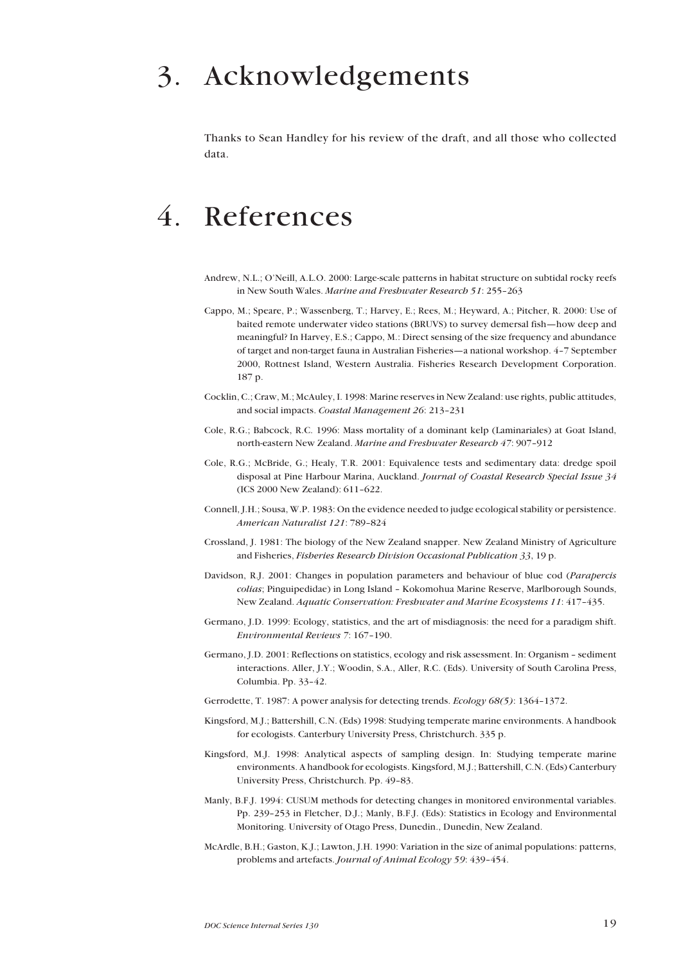## <span id="page-17-0"></span>3. Acknowledgements

Thanks to Sean Handley for his review of the draft, and all those who collected data.

# 4. References

- Andrew, N.L.; O'Neill, A.L.O. 2000: Large-scale patterns in habitat structure on subtidal rocky reefs in New South Wales. *Marine and Freshwater Research 51*: 255-263
- Cappo, M.; Speare, P.; Wassenberg, T.; Harvey, E.; Rees, M.; Heyward, A.; Pitcher, R. 2000: Use of baited remote underwater video stations (BRUVS) to survey demersal fish—how deep and meaningful? In Harvey, E.S.; Cappo, M.: Direct sensing of the size frequency and abundance of target and non-target fauna in Australian Fisheries—a national workshop. 4-7 September 2000, Rottnest Island, Western Australia. Fisheries Research Development Corporation. 187 p.
- Cocklin, C.; Craw, M.; McAuley, I. 1998: Marine reserves in New Zealand: use rights, public attitudes, and social impacts. *Coastal Management 26*: 213-231
- Cole, R.G.; Babcock, R.C. 1996: Mass mortality of a dominant kelp (Laminariales) at Goat Island, north-eastern New Zealand. *Marine and Freshwater Research 47*: 907-912
- Cole, R.G.; McBride, G.; Healy, T.R. 2001: Equivalence tests and sedimentary data: dredge spoil disposal at Pine Harbour Marina, Auckland. *Journal of Coastal Research Special Issue 34* (ICS 2000 New Zealand): 611-622.
- Connell, J.H.; Sousa, W.P. 1983: On the evidence needed to judge ecological stability or persistence. *American Naturalist 121*: 789-824
- Crossland, J. 1981: The biology of the New Zealand snapper. New Zealand Ministry of Agriculture and Fisheries, *Fisheries Research Division Occasional Publication 33*, 19 p.
- Davidson, R.J. 2001: Changes in population parameters and behaviour of blue cod (*Parapercis* colias; Pinguipedidae) in Long Island - Kokomohua Marine Reserve, Marlborough Sounds, New Zealand. *Aquatic Conservation: Freshwater and Marine Ecosystems 11*: 417-435.
- Germano, J.D. 1999: Ecology, statistics, and the art of misdiagnosis: the need for a paradigm shift. *Environmental Reviews 7:* 167-190.
- Germano, J.D. 2001: Reflections on statistics, ecology and risk assessment. In: Organism sediment interactions. Aller, J.Y.; Woodin, S.A., Aller, R.C. (Eds). University of South Carolina Press, Columbia. Pp.  $33-42$ .
- Gerrodette, T. 1987: A power analysis for detecting trends. *Ecology 68(5)*: 1364–1372.
- Kingsford, M.J.; Battershill, C.N. (Eds) 1998: Studying temperate marine environments. A handbook for ecologists. Canterbury University Press, Christchurch. 335 p.
- Kingsford, M.J. 1998: Analytical aspects of sampling design. In: Studying temperate marine environments. A handbook for ecologists. Kingsford, M.J.; Battershill, C.N. (Eds) Canterbury University Press, Christchurch. Pp. 49-83.
- Manly, B.F.J. 1994: CUSUM methods for detecting changes in monitored environmental variables. Pp. 239-253 in Fletcher, D.J.; Manly, B.F.J. (Eds): Statistics in Ecology and Environmental Monitoring. University of Otago Press, Dunedin., Dunedin, New Zealand.
- McArdle, B.H.; Gaston, K.J.; Lawton, J.H. 1990: Variation in the size of animal populations: patterns, problems and artefacts. *Journal of Animal Ecology* 59: 439-454.